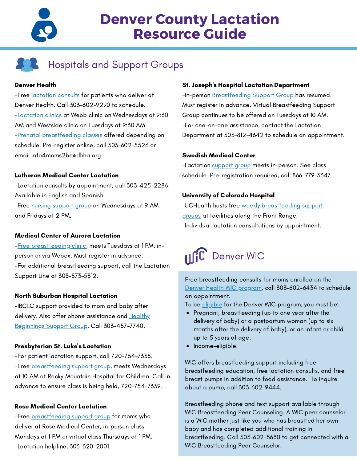

# **Denver County Lactation Resource Guide**

# **Hospitals and Support Groups**

## Denver Health

-Free **[lactation](https://www.denverhealth.org/services/womens-health/maternity-pregnancy/lactation-services) consults** for patients who deliver at Denver Health. Call 303-602-9290 to schedule. [-Lactation](https://www.denverhealth.org/services/womens-health/maternity-pregnancy/lactation-services) clinics at Webb clinic on Wednesdays at 9:30 AM and Westside clinic on Tuesdays at 9:30 AM. -Prenatal [breastfeeding](https://www.denverhealth.org/calendar/prenatal/breastfeeding-class) classes offered depending on schedule. Pre-register online, call [303-602-5526](tel:303-602-5526) or email [info4moms2be@dhha.org](mailto:info4moms2be@dhha.org).

# Lutheran Medical Center Lactation

-Lactation consults by appointment, call 303-425-2286. Available in English and Spanish.

-Free nursing [support](https://www.sclhealth.org/classes-events/lutheran/women-and-family-classes/nursing-support-group/) group on Wednesdays at 9 AM and Fridays at 2 PM.

# Medical Center of Aurora Lactation

-Free [breastfeeding](https://auroramed.com/specialties/postpartum-care/) clinic, meets Tuesdays at 1 PM, inperson or via Webex. Must register in advance. -For additional breastfeeding support, call the Lactation Support Line at 303-873-5812.

# North Suburban Hospital Lactation

-IBCLC support provided to mom and baby after delivery. Also offer phone assistance and Healthy Beginnings Support Group. Call [303-457-7740.](https://northsuburban.com/specialties/labor-and-delivery/)

#### Presbyterian St. Luke's Lactation

-For patient lactation support, call 720-754-7338. -Free [breastfeeding](https://pslmc.com/classes-events/) support group, meets Wednesdays at 10 AM at Rocky Mountain Hospital for Children. Call in advance to ensure class is being held, 720-754-7339.

## Rose Medical Center Lactation

-Free **[breastfeeding](https://healthonecares.com/locations/presbyterian-st-lukes/classes-events/) support group** for moms who deliver at Rose Medical Center, in-person class Mondays at 1 PM or virtual class Thursdays at 1 PM. -Lactation helpline, 303-320-2001.

#### St. Joseph's Hospital Lactation Department

-In-person [Breastfeeding](https://www.sclhealth.org/classes-events/saintjoseph/prenatal-classes/breastfeeding-support-group/) Support Group has resumed. Must register in advance. Virtual [Breastfeeding](https://www.sclhealth.org/classes-events/saintjoseph/prenatal-classes/breastfeeding-support-group/) Support Group continues to be offered on Tuesdays at 10 AM. -For one-on-one assistance, contact the Lactation Department at 303-812-4642 to schedule an appointment.

#### Swedish Medical Center

-Lactation [support](https://swedishhospital.com/classes-events/) group meets in-person. See class schedule. Pre-registration required, call 866-779-3347.

# University of Colorado Hospital

-UCHealth hosts free weekly [breastfeeding](https://www.uchealth.org/services/womens-care/pregnancy-childbirth-newborn-care/breastfeeding-support/) support [groups](https://www.uchealth.org/services/womens-care/pregnancy-childbirth-newborn-care/breastfeeding-support/) at facilities along the Front Range. -Individual lactation consultations by appointment.



Free breastfeeding consults for moms enrolled on the Denver Health WIC [program](https://www.denverhealth.org/services/community-health/wic-program), call 303-602-6434 to schedule an appointment.

To be *[eligible](https://www.coloradowic.gov/eligibility)* [f](https://www.coloradowic.gov/eligibility)or the Denver WIC program, you must be:

- Pregnant, breastfeeding (up to one year after the delivery of baby) or a postpartum woman (up to six months after the delivery of baby), or an infant or child up to 5 years of age.
- Income-eligible.

WIC offers breastfeeding support including free breastfeeding education, free lactation consults, and free breast pumps in addition to food assistance. To inquire about a pump, call 303-602-9444.

Breastfeeding phone and text support available through WIC Breastfeeding Peer Counseling. A WIC peer counselor is a WIC mother just like you who has breastfed her own baby and has completed additional training in breastfeeding. Call 303-602-5680 to get connected with a WIC Breastfeeding Peer Counselor.